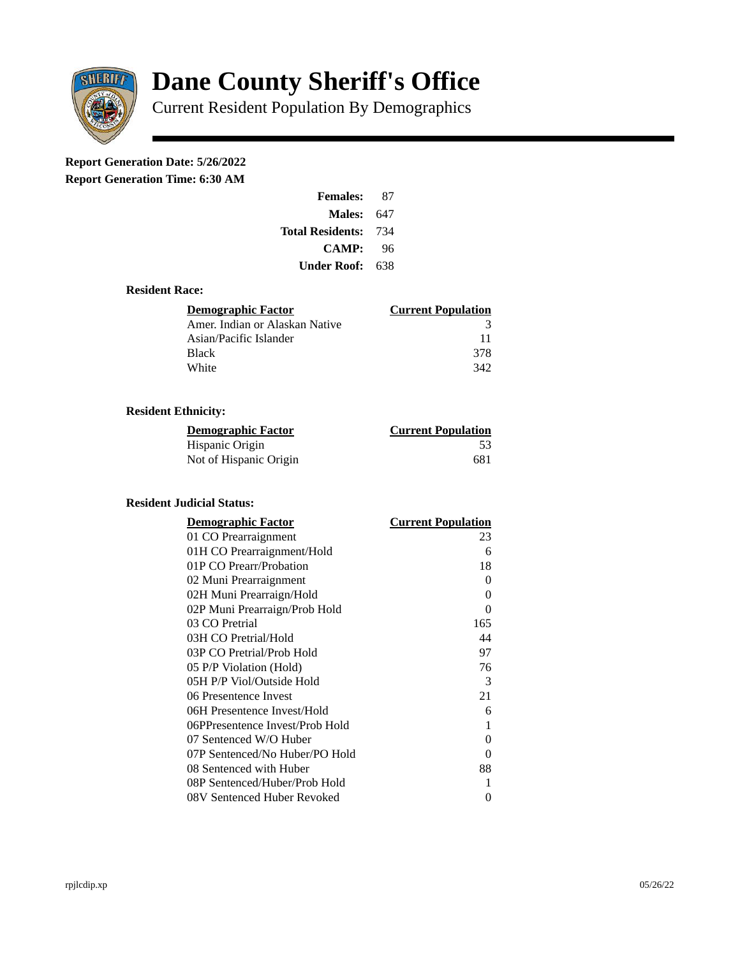

# **Dane County Sheriff's Office**

Current Resident Population By Demographics

# **Report Generation Date: 5/26/2022**

**Report Generation Time: 6:30 AM** 

| <b>Females:</b>         | 87  |
|-------------------------|-----|
| Males:                  | 647 |
| <b>Total Residents:</b> | 734 |
| <b>CAMP:</b>            | 96  |
| Under Roof: \           | 638 |

### **Resident Race:**

| Demographic Factor             | <b>Current Population</b> |
|--------------------------------|---------------------------|
| Amer. Indian or Alaskan Native | З                         |
| Asian/Pacific Islander         | 11                        |
| Black                          | 378                       |
| White                          | 342                       |

# **Resident Ethnicity:**

| <u>Demographic Factor</u> | <b>Current Population</b> |
|---------------------------|---------------------------|
| Hispanic Origin           | -53                       |
| Not of Hispanic Origin    | 681                       |

# **Resident Judicial Status:**

| <b>Demographic Factor</b>       | <b>Current Population</b> |
|---------------------------------|---------------------------|
| 01 CO Prearraignment            | 23                        |
| 01H CO Prearraignment/Hold      | 6                         |
| 01P CO Prearr/Probation         | 18                        |
| 02 Muni Prearraignment          | 0                         |
| 02H Muni Prearraign/Hold        | 0                         |
| 02P Muni Prearraign/Prob Hold   | 0                         |
| 03 CO Pretrial                  | 165                       |
| 03H CO Pretrial/Hold            | 44                        |
| 03P CO Pretrial/Prob Hold       | 97                        |
| 05 P/P Violation (Hold)         | 76                        |
| 05H P/P Viol/Outside Hold       | 3                         |
| 06 Presentence Invest           | 21                        |
| 06H Presentence Invest/Hold     | 6                         |
| 06PPresentence Invest/Prob Hold | 1                         |
| 07 Sentenced W/O Huber          | 0                         |
| 07P Sentenced/No Huber/PO Hold  | 0                         |
| 08 Sentenced with Huber         | 88                        |
| 08P Sentenced/Huber/Prob Hold   | 1                         |
| 08V Sentenced Huber Revoked     | 0                         |